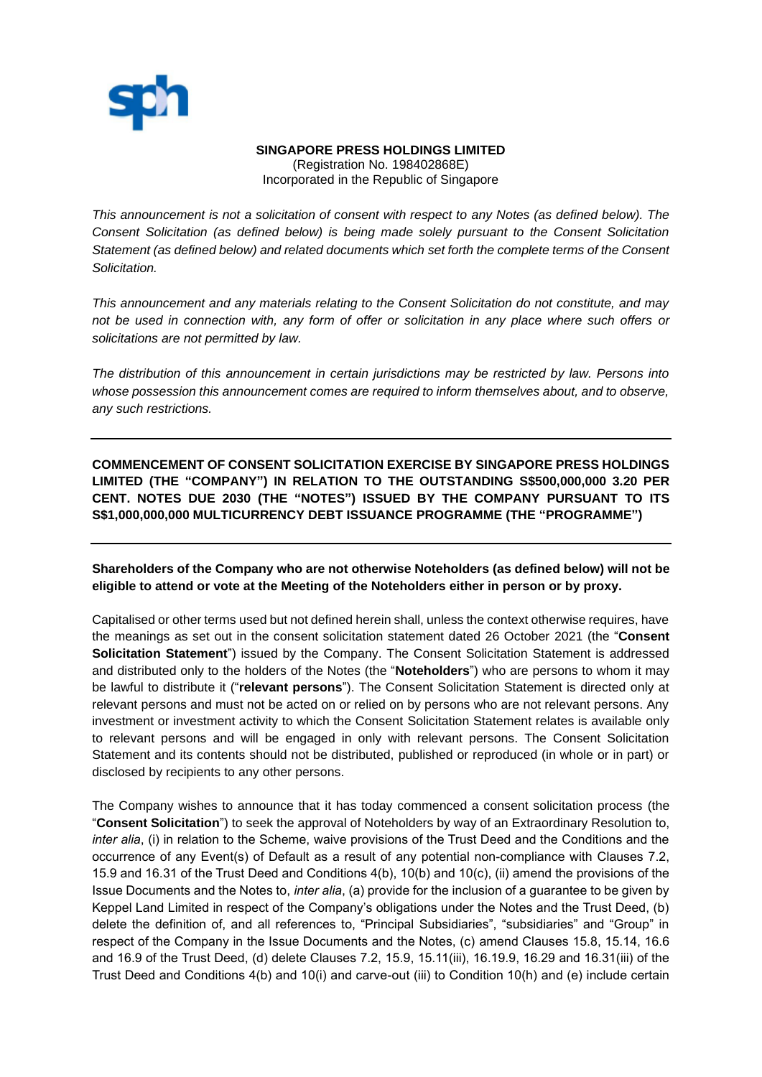

## **SINGAPORE PRESS HOLDINGS LIMITED**

(Registration No. 198402868E) Incorporated in the Republic of Singapore

*This announcement is not a solicitation of consent with respect to any Notes (as defined below). The Consent Solicitation (as defined below) is being made solely pursuant to the Consent Solicitation Statement (as defined below) and related documents which set forth the complete terms of the Consent Solicitation.*

*This announcement and any materials relating to the Consent Solicitation do not constitute, and may not be used in connection with, any form of offer or solicitation in any place where such offers or solicitations are not permitted by law.* 

*The distribution of this announcement in certain jurisdictions may be restricted by law. Persons into whose possession this announcement comes are required to inform themselves about, and to observe, any such restrictions.*

**COMMENCEMENT OF CONSENT SOLICITATION EXERCISE BY SINGAPORE PRESS HOLDINGS LIMITED (THE "COMPANY") IN RELATION TO THE OUTSTANDING S\$500,000,000 3.20 PER CENT. NOTES DUE 2030 (THE "NOTES") ISSUED BY THE COMPANY PURSUANT TO ITS S\$1,000,000,000 MULTICURRENCY DEBT ISSUANCE PROGRAMME (THE "PROGRAMME")**

**Shareholders of the Company who are not otherwise Noteholders (as defined below) will not be eligible to attend or vote at the Meeting of the Noteholders either in person or by proxy.**

Capitalised or other terms used but not defined herein shall, unless the context otherwise requires, have the meanings as set out in the consent solicitation statement dated 26 October 2021 (the "**Consent Solicitation Statement**") issued by the Company. The Consent Solicitation Statement is addressed and distributed only to the holders of the Notes (the "**Noteholders**") who are persons to whom it may be lawful to distribute it ("**relevant persons**"). The Consent Solicitation Statement is directed only at relevant persons and must not be acted on or relied on by persons who are not relevant persons. Any investment or investment activity to which the Consent Solicitation Statement relates is available only to relevant persons and will be engaged in only with relevant persons. The Consent Solicitation Statement and its contents should not be distributed, published or reproduced (in whole or in part) or disclosed by recipients to any other persons.

The Company wishes to announce that it has today commenced a consent solicitation process (the "**Consent Solicitation**") to seek the approval of Noteholders by way of an Extraordinary Resolution to, *inter alia*, (i) in relation to the Scheme, waive provisions of the Trust Deed and the Conditions and the occurrence of any Event(s) of Default as a result of any potential non-compliance with Clauses 7.2, 15.9 and 16.31 of the Trust Deed and Conditions 4(b), 10(b) and 10(c), (ii) amend the provisions of the Issue Documents and the Notes to, *inter alia*, (a) provide for the inclusion of a guarantee to be given by Keppel Land Limited in respect of the Company's obligations under the Notes and the Trust Deed, (b) delete the definition of, and all references to, "Principal Subsidiaries", "subsidiaries" and "Group" in respect of the Company in the Issue Documents and the Notes, (c) amend Clauses 15.8, 15.14, 16.6 and 16.9 of the Trust Deed, (d) delete Clauses 7.2, 15.9, 15.11(iii), 16.19.9, 16.29 and 16.31(iii) of the Trust Deed and Conditions 4(b) and 10(i) and carve-out (iii) to Condition 10(h) and (e) include certain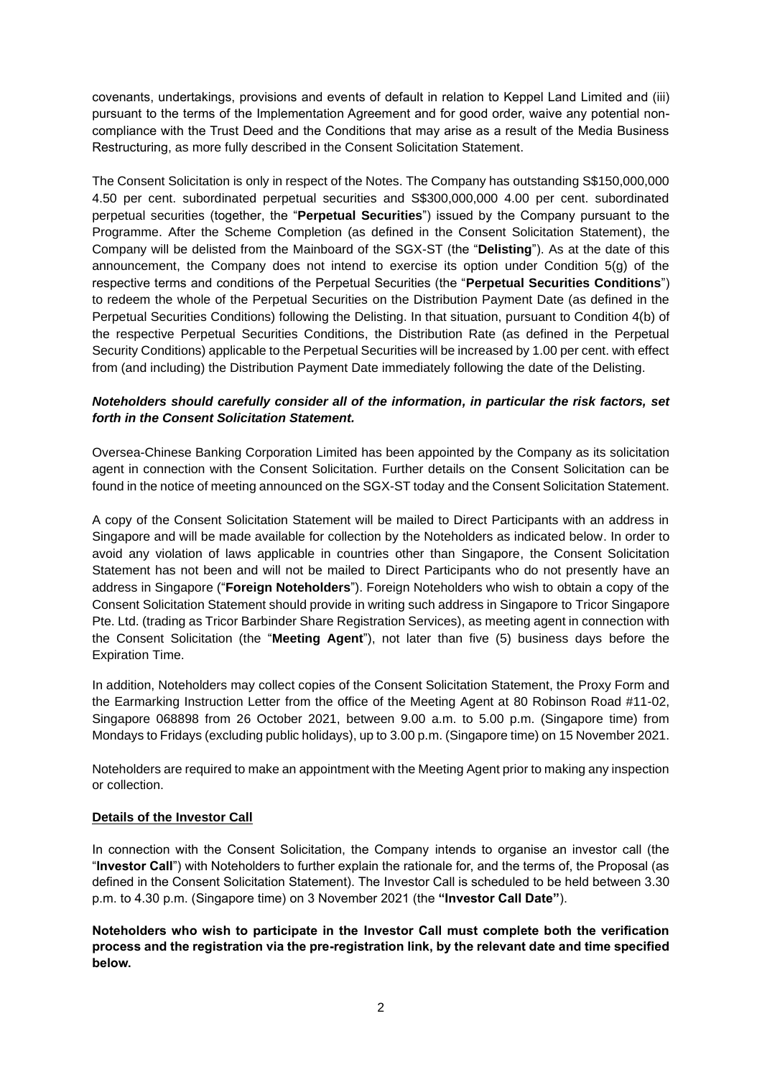covenants, undertakings, provisions and events of default in relation to Keppel Land Limited and (iii) pursuant to the terms of the Implementation Agreement and for good order, waive any potential noncompliance with the Trust Deed and the Conditions that may arise as a result of the Media Business Restructuring, as more fully described in the Consent Solicitation Statement.

The Consent Solicitation is only in respect of the Notes. The Company has outstanding S\$150,000,000 4.50 per cent. subordinated perpetual securities and S\$300,000,000 4.00 per cent. subordinated perpetual securities (together, the "**Perpetual Securities**") issued by the Company pursuant to the Programme. After the Scheme Completion (as defined in the Consent Solicitation Statement), the Company will be delisted from the Mainboard of the SGX-ST (the "**Delisting**"). As at the date of this announcement, the Company does not intend to exercise its option under Condition 5(g) of the respective terms and conditions of the Perpetual Securities (the "**Perpetual Securities Conditions**") to redeem the whole of the Perpetual Securities on the Distribution Payment Date (as defined in the Perpetual Securities Conditions) following the Delisting. In that situation, pursuant to Condition 4(b) of the respective Perpetual Securities Conditions, the Distribution Rate (as defined in the Perpetual Security Conditions) applicable to the Perpetual Securities will be increased by 1.00 per cent. with effect from (and including) the Distribution Payment Date immediately following the date of the Delisting.

# *Noteholders should carefully consider all of the information, in particular the risk factors, set forth in the Consent Solicitation Statement.*

Oversea-Chinese Banking Corporation Limited has been appointed by the Company as its solicitation agent in connection with the Consent Solicitation. Further details on the Consent Solicitation can be found in the notice of meeting announced on the SGX-ST today and the Consent Solicitation Statement.

A copy of the Consent Solicitation Statement will be mailed to Direct Participants with an address in Singapore and will be made available for collection by the Noteholders as indicated below. In order to avoid any violation of laws applicable in countries other than Singapore, the Consent Solicitation Statement has not been and will not be mailed to Direct Participants who do not presently have an address in Singapore ("**Foreign Noteholders**"). Foreign Noteholders who wish to obtain a copy of the Consent Solicitation Statement should provide in writing such address in Singapore to Tricor Singapore Pte. Ltd. (trading as Tricor Barbinder Share Registration Services), as meeting agent in connection with the Consent Solicitation (the "**Meeting Agent**"), not later than five (5) business days before the Expiration Time.

In addition, Noteholders may collect copies of the Consent Solicitation Statement, the Proxy Form and the Earmarking Instruction Letter from the office of the Meeting Agent at 80 Robinson Road #11-02, Singapore 068898 from 26 October 2021, between 9.00 a.m. to 5.00 p.m. (Singapore time) from Mondays to Fridays (excluding public holidays), up to 3.00 p.m. (Singapore time) on 15 November 2021.

Noteholders are required to make an appointment with the Meeting Agent prior to making any inspection or collection.

# **Details of the Investor Call**

In connection with the Consent Solicitation, the Company intends to organise an investor call (the "**Investor Call**") with Noteholders to further explain the rationale for, and the terms of, the Proposal (as defined in the Consent Solicitation Statement). The Investor Call is scheduled to be held between 3.30 p.m. to 4.30 p.m. (Singapore time) on 3 November 2021 (the **"Investor Call Date"**).

**Noteholders who wish to participate in the Investor Call must complete both the verification process and the registration via the pre-registration link, by the relevant date and time specified below.**